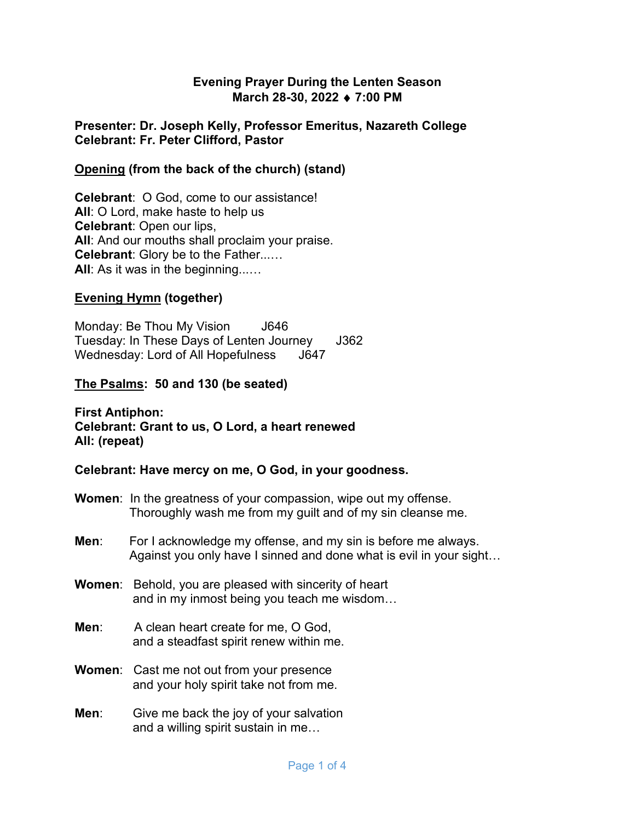## **Evening Prayer During the Lenten Season March 28-30, 2022** ♦ **7:00 PM**

#### **Presenter: Dr. Joseph Kelly, Professor Emeritus, Nazareth College Celebrant: Fr. Peter Clifford, Pastor**

### **Opening (from the back of the church) (stand)**

**Celebrant**: O God, come to our assistance! **All**: O Lord, make haste to help us **Celebrant**: Open our lips, **All**: And our mouths shall proclaim your praise. **Celebrant**: Glory be to the Father...… **All:** As it was in the beginning......

### **Evening Hymn (together)**

Monday: Be Thou My Vision J646 Tuesday: In These Days of Lenten Journey J362 Wednesday: Lord of All Hopefulness J647

### **The Psalms: 50 and 130 (be seated)**

#### **First Antiphon: Celebrant: Grant to us, O Lord, a heart renewed All: (repeat)**

#### **Celebrant: Have mercy on me, O God, in your goodness.**

- **Women**: In the greatness of your compassion, wipe out my offense. Thoroughly wash me from my guilt and of my sin cleanse me.
- **Men**: For I acknowledge my offense, and my sin is before me always. Against you only have I sinned and done what is evil in your sight…
- **Women**: Behold, you are pleased with sincerity of heart and in my inmost being you teach me wisdom…
- **Men**: A clean heart create for me, O God, and a steadfast spirit renew within me.
- **Women**: Cast me not out from your presence and your holy spirit take not from me.
- **Men**: Give me back the joy of your salvation and a willing spirit sustain in me…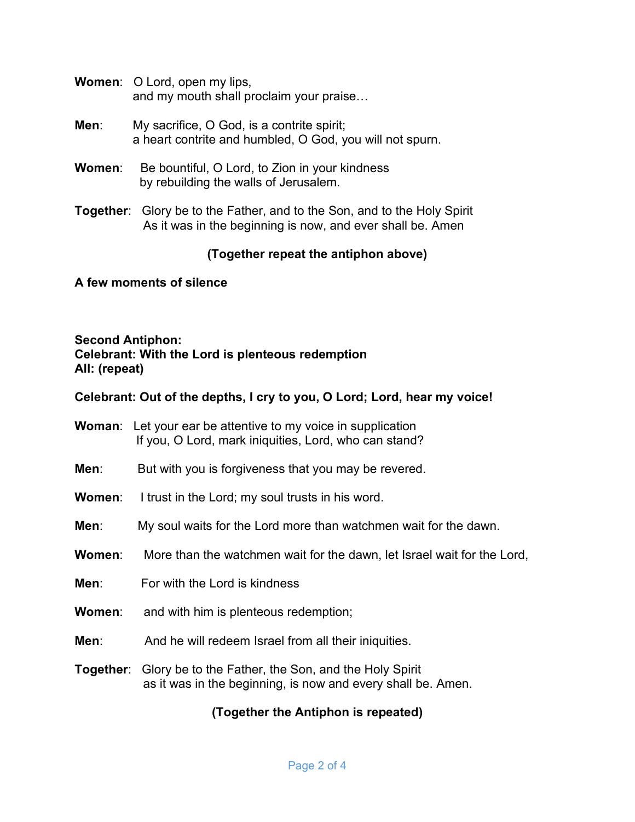- **Women**: O Lord, open my lips, and my mouth shall proclaim your praise…
- **Men:** My sacrifice, O God, is a contrite spirit; a heart contrite and humbled, O God, you will not spurn.
- **Women**: Be bountiful, O Lord, to Zion in your kindness by rebuilding the walls of Jerusalem.
- **Together**: Glory be to the Father, and to the Son, and to the Holy Spirit As it was in the beginning is now, and ever shall be. Amen

# **(Together repeat the antiphon above)**

# **A few moments of silence**

#### **Second Antiphon: Celebrant: With the Lord is plenteous redemption All: (repeat)**

# **Celebrant: Out of the depths, I cry to you, O Lord; Lord, hear my voice!**

|        | <b>Woman:</b> Let your ear be attentive to my voice in supplication<br>If you, O Lord, mark iniquities, Lord, who can stand?          |
|--------|---------------------------------------------------------------------------------------------------------------------------------------|
| Men:   | But with you is forgiveness that you may be revered.                                                                                  |
| Women: | I trust in the Lord; my soul trusts in his word.                                                                                      |
| Men:   | My soul waits for the Lord more than watchmen wait for the dawn.                                                                      |
| Women: | More than the watchmen wait for the dawn, let Israel wait for the Lord,                                                               |
| Men:   | For with the Lord is kindness                                                                                                         |
| Women: | and with him is plenteous redemption;                                                                                                 |
| Men:   | And he will redeem Israel from all their iniquities.                                                                                  |
|        | <b>Together:</b> Glory be to the Father, the Son, and the Holy Spirit<br>as it was in the beginning, is now and every shall be. Amen. |

# **(Together the Antiphon is repeated)**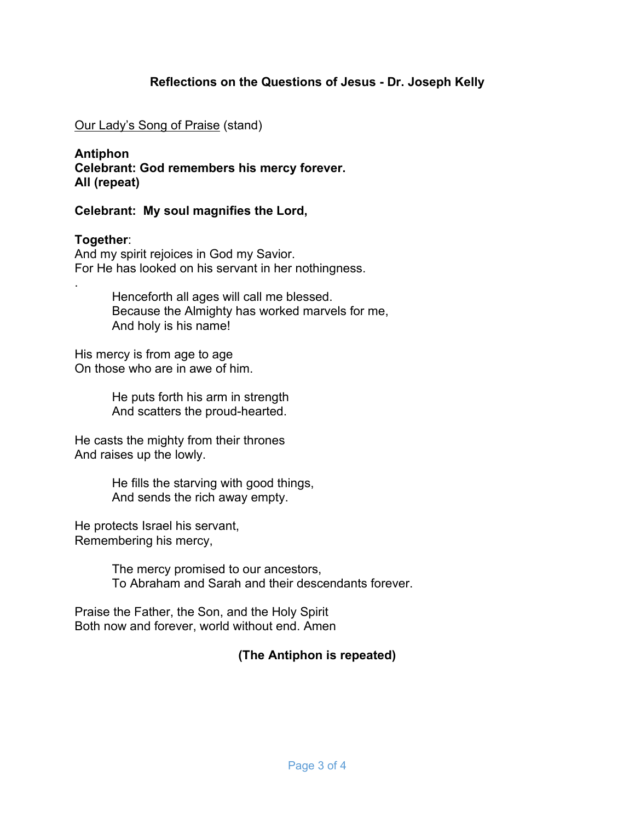# **Reflections on the Questions of Jesus - Dr. Joseph Kelly**

#### Our Lady's Song of Praise (stand)

**Antiphon Celebrant: God remembers his mercy forever. All (repeat)**

### **Celebrant: My soul magnifies the Lord,**

#### **Together**:

.

And my spirit rejoices in God my Savior. For He has looked on his servant in her nothingness.

> Henceforth all ages will call me blessed. Because the Almighty has worked marvels for me, And holy is his name!

His mercy is from age to age On those who are in awe of him.

> He puts forth his arm in strength And scatters the proud-hearted.

He casts the mighty from their thrones And raises up the lowly.

> He fills the starving with good things, And sends the rich away empty.

He protects Israel his servant, Remembering his mercy,

> The mercy promised to our ancestors, To Abraham and Sarah and their descendants forever.

Praise the Father, the Son, and the Holy Spirit Both now and forever, world without end. Amen

# **(The Antiphon is repeated)**